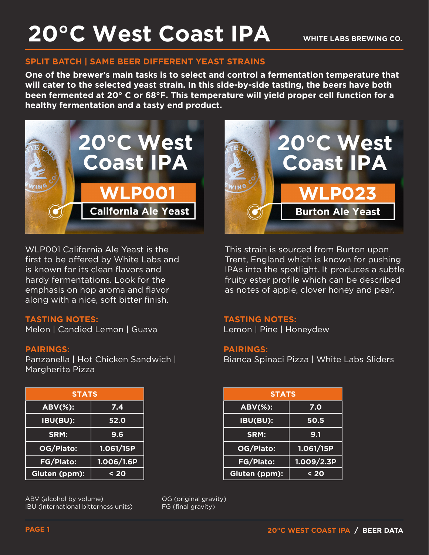## **20°C West Coast IPA**

#### **SPLIT BATCH | SAME BEER DIFFERENT YEAST STRAINS**

**One of the brewer's main tasks is to select and control a fermentation temperature that will cater to the selected yeast strain. In this side-by-side tasting, the beers have both been fermented at 20° C or 68°F. This temperature will yield proper cell function for a healthy fermentation and a tasty end product.** 



WLP001 California Ale Yeast is the first to be offered by White Labs and is known for its clean flavors and hardy fermentations. Look for the emphasis on hop aroma and flavor along with a nice, soft bitter finish.

#### **TASTING NOTES:**

Melon | Candied Lemon | Guava

#### **PAIRINGS:**

Panzanella | Hot Chicken Sandwich | Margherita Pizza

| <b>STATS</b>     |            |  |  |
|------------------|------------|--|--|
| <b>ABV(%):</b>   | 7.4        |  |  |
| IBU(BU):         | 52.0       |  |  |
| SRM:             | 9.6        |  |  |
| OG/Plato:        | 1.061/15P  |  |  |
| <b>FG/Plato:</b> | 1.006/1.6P |  |  |
| Gluten (ppm):    | $20$       |  |  |

ABV (alcohol by volume) IBU (international bitterness units)



This strain is sourced from Burton upon Trent, England which is known for pushing IPAs into the spotlight. It produces a subtle fruity ester profile which can be described as notes of apple, clover honey and pear.

#### **TASTING NOTES:**

Lemon | Pine | Honeydew

#### **PAIRINGS:**

Bianca Spinaci Pizza | White Labs Sliders

| <b>STATS</b> |            | <b>STATS</b>   |            |
|--------------|------------|----------------|------------|
| Ŧ.           | 7.4        | <b>ABV(%):</b> | 7.0        |
| H            | 52.0       | IBU(BU):       | 50.5       |
|              | 9.6        | SRM:           | 9.1        |
| יכ.          | 1.061/15P  | OG/Plato:      | 1.061/15P  |
| $\mathbf{S}$ | 1.006/1.6P | FG/Plato:      | 1.009/2.3P |
| $m$ ):       | $20$       | Gluten (ppm):  | $20$       |

OG (original gravity) FG (final gravity)